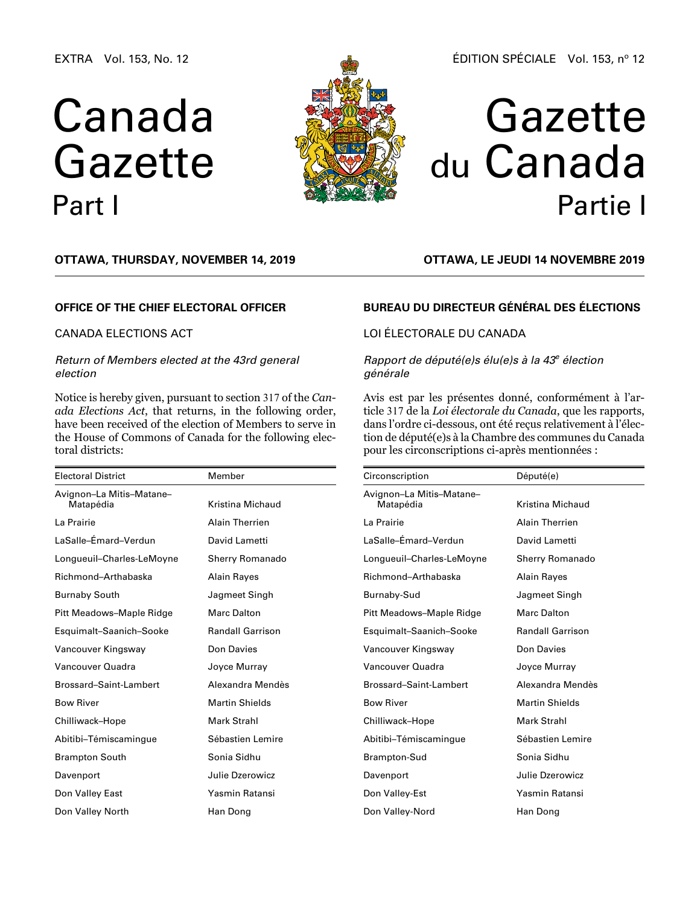EXTRA Vol. 153, No. 12

# Canada Gazette Part I



### ÉDITION SPÉCIALE Vol. 153, nº 12

# Gazette du Canada Partie I

### **OTTAWA, Thursday, November 14, 2019**

#### **OFFICE OF THE CHIEF ELECTORAL OFFICER**

#### CANADA ELECTIONS ACT

#### *Return of Members elected at the 43rd general election*

Notice is hereby given, pursuant to section 317 of the *Canada Elections Act*, that returns, in the following order, have been received of the election of Members to serve in the House of Commons of Canada for the following electoral districts:

| <b>Electoral District</b>             | Member                  |  |
|---------------------------------------|-------------------------|--|
| Avignon-La Mitis-Matane-<br>Matapédia | Kristina Michaud        |  |
| La Prairie                            | <b>Alain Therrien</b>   |  |
| LaSalle-Émard-Verdun                  | David Lametti           |  |
| Longueuil-Charles-LeMoyne             | <b>Sherry Romanado</b>  |  |
| Richmond-Arthabaska                   | Alain Rayes             |  |
| <b>Burnaby South</b>                  | Jagmeet Singh           |  |
| Pitt Meadows-Maple Ridge              | Marc Dalton             |  |
| Esquimalt-Saanich-Sooke               | <b>Randall Garrison</b> |  |
| Vancouver Kingsway                    | Don Davies              |  |
| Vancouver Quadra                      | Joyce Murray            |  |
| Brossard-Saint-Lambert                | Alexandra Mendès        |  |
| <b>Bow River</b>                      | <b>Martin Shields</b>   |  |
| Chilliwack-Hope                       | Mark Strahl             |  |
| Abitibi-Témiscamingue                 | Sébastien Lemire        |  |
| <b>Brampton South</b>                 | Sonia Sidhu             |  |
| Davenport                             | Julie Dzerowicz         |  |
| Don Valley East                       | Yasmin Ratansi          |  |
| Don Valley North                      | Han Dong                |  |

# **OTTAWA, LE jeudi 14 novembre 2019**

#### **BUREAU DU DIRECTEUR GÉNÉRAL DES ÉLECTIONS**

# LOI ÉLECTORALE DU CANADA

#### *Rapport de député(e)s élu(e)s à la 43e élection générale*

Avis est par les présentes donné, conformément à l'article 317 de la *Loi électorale du Canada*, que les rapports, dans l'ordre ci-dessous, ont été reçus relativement à l'élection de député(e)s à la Chambre des communes du Canada pour les circonscriptions ci-après mentionnées :

| Circonscription                       | Député(e)               |
|---------------------------------------|-------------------------|
| Avignon-La Mitis-Matane-<br>Matapédia | Kristina Michaud        |
| La Prairie                            | <b>Alain Therrien</b>   |
| l aSalle-Émard-Verdun                 | David Lametti           |
| Longueuil-Charles-LeMoyne             | <b>Sherry Romanado</b>  |
| Richmond-Arthabaska                   | Alain Rayes             |
| Burnaby-Sud                           | Jagmeet Singh           |
| Pitt Meadows-Maple Ridge              | Marc Dalton             |
| Esquimalt-Saanich-Sooke               | <b>Randall Garrison</b> |
| Vancouver Kingsway                    | Don Davies              |
| Vancouver Quadra                      | Joyce Murray            |
| Brossard-Saint-Lambert                | Alexandra Mendès        |
| <b>Bow River</b>                      | <b>Martin Shields</b>   |
| Chilliwack-Hope                       | Mark Strahl             |
| Abitibi-Témiscamingue                 | Sébastien Lemire        |
| Brampton-Sud                          | Sonia Sidhu             |
| Davenport                             | Julie Dzerowicz         |
| Don Valley-Est                        | Yasmin Ratansi          |
| Don Valley-Nord                       | Han Dong                |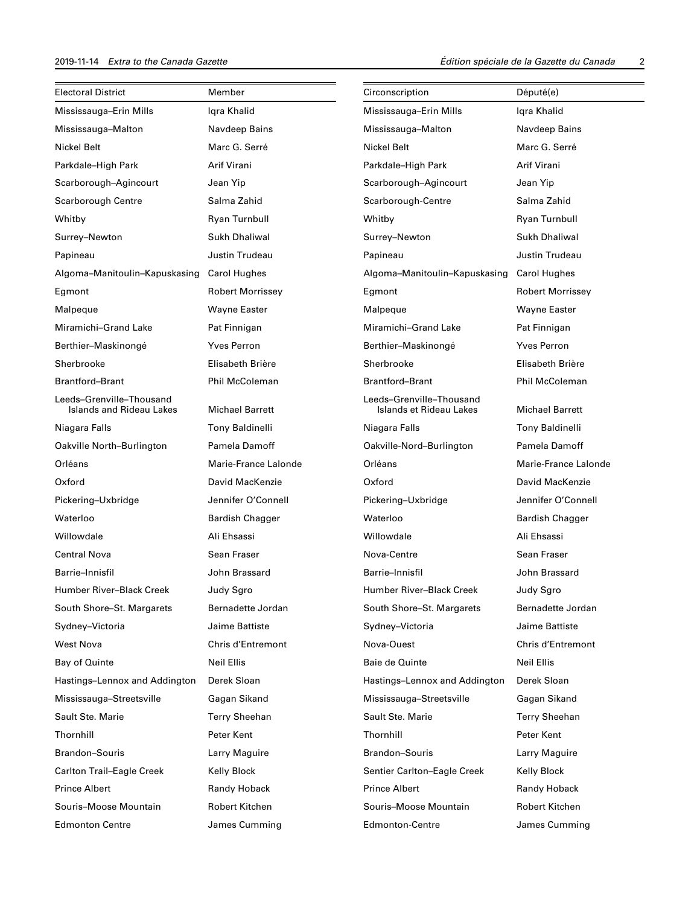| <b>Electoral District</b>                            | Member                   | Circonscription                                     | Député(e)                |
|------------------------------------------------------|--------------------------|-----------------------------------------------------|--------------------------|
| Mississauga-Erin Mills                               | Igra Khalid              | Mississauga-Erin Mills                              | Igra Khalid              |
| Mississauga-Malton                                   | Navdeep Bains            | Mississauga-Malton                                  | Navdeep Bains            |
| Nickel Belt                                          | Marc G. Serré            | Nickel Belt                                         | Marc G. Serré            |
| Parkdale-High Park                                   | Arif Virani              | Parkdale-High Park                                  | Arif Virani              |
| Scarborough-Agincourt                                | Jean Yip                 | Scarborough-Agincourt                               | Jean Yip                 |
| Scarborough Centre                                   | Salma Zahid              | Scarborough-Centre                                  | Salma Zahid              |
| Whitby                                               | Ryan Turnbull            | Whitby                                              | Ryan Turnbull            |
| Surrey-Newton                                        | Sukh Dhaliwal            | Surrey-Newton                                       | Sukh Dhaliwal            |
| Papineau                                             | Justin Trudeau           | Papineau                                            | Justin Trudeau           |
| Algoma-Manitoulin-Kapuskasing                        | <b>Carol Hughes</b>      | Algoma-Manitoulin-Kapuskasing                       | Carol Hughes             |
| Egmont                                               | <b>Robert Morrissey</b>  | Egmont                                              | <b>Robert Morrissey</b>  |
| Malpeque                                             | <b>Wayne Easter</b>      | Malpeque                                            | <b>Wayne Easter</b>      |
| Miramichi-Grand Lake                                 | Pat Finnigan             | Miramichi-Grand Lake                                | Pat Finnigan             |
| Berthier-Maskinongé                                  | <b>Yves Perron</b>       | Berthier-Maskinongé                                 | <b>Yves Perron</b>       |
| Sherbrooke                                           | Elisabeth Brière         | Sherbrooke                                          | Elisabeth Brière         |
| <b>Brantford-Brant</b>                               | <b>Phil McColeman</b>    | <b>Brantford-Brant</b>                              | Phil McColeman           |
| Leeds-Grenville-Thousand<br>Islands and Rideau Lakes | <b>Michael Barrett</b>   | Leeds-Grenville-Thousand<br>Islands et Rideau Lakes | <b>Michael Barrett</b>   |
| Niagara Falls                                        | <b>Tony Baldinelli</b>   | Niagara Falls                                       | <b>Tony Baldinelli</b>   |
| Oakville North-Burlington                            | Pamela Damoff            | Oakville-Nord-Burlington                            | Pamela Damoff            |
| Orléans                                              | Marie-France Lalonde     | Orléans                                             | Marie-France Lalonde     |
| Oxford                                               | David MacKenzie          | Oxford                                              | David MacKenzie          |
| Pickering-Uxbridge                                   | Jennifer O'Connell       | Pickering-Uxbridge                                  | Jennifer O'Connell       |
| Waterloo                                             | <b>Bardish Chagger</b>   | Waterloo                                            | <b>Bardish Chagger</b>   |
| Willowdale                                           | Ali Ehsassi              | Willowdale                                          | Ali Ehsassi              |
| <b>Central Nova</b>                                  | Sean Fraser              | Nova-Centre                                         | Sean Fraser              |
| Barrie-Innisfil                                      | John Brassard            | Barrie-Innisfil                                     | John Brassard            |
| Humber River–Black Creek                             | Judy Sgro                | Humber River-Black Creek                            | Judy Sgro                |
| South Shore-St. Margarets                            | Bernadette Jordan        | South Shore-St. Margarets                           | Bernadette Jordan        |
| Sydney-Victoria                                      | Jaime Battiste           | Sydney-Victoria                                     | Jaime Battiste           |
| <b>West Nova</b>                                     | <b>Chris d'Entremont</b> | Nova-Ouest                                          | <b>Chris d'Entremont</b> |
| Bay of Quinte                                        | <b>Neil Ellis</b>        | Baie de Quinte                                      | <b>Neil Ellis</b>        |
| Hastings-Lennox and Addington                        | Derek Sloan              | Hastings-Lennox and Addington                       | Derek Sloan              |
| Mississauga-Streetsville                             | Gagan Sikand             | Mississauga-Streetsville                            | Gagan Sikand             |
| Sault Ste. Marie                                     | <b>Terry Sheehan</b>     | Sault Ste. Marie                                    | <b>Terry Sheehan</b>     |
| Thornhill                                            | Peter Kent               | Thornhill                                           | Peter Kent               |
| <b>Brandon-Souris</b>                                | Larry Maguire            | <b>Brandon-Souris</b>                               | Larry Maguire            |
| Carlton Trail-Eagle Creek                            | Kelly Block              | Sentier Carlton-Eagle Creek                         | Kelly Block              |
| <b>Prince Albert</b>                                 | Randy Hoback             | <b>Prince Albert</b>                                | Randy Hoback             |
| Souris-Moose Mountain                                | Robert Kitchen           | Souris-Moose Mountain                               | <b>Robert Kitchen</b>    |
| <b>Edmonton Centre</b>                               | James Cumming            | Edmonton-Centre                                     | James Cumming            |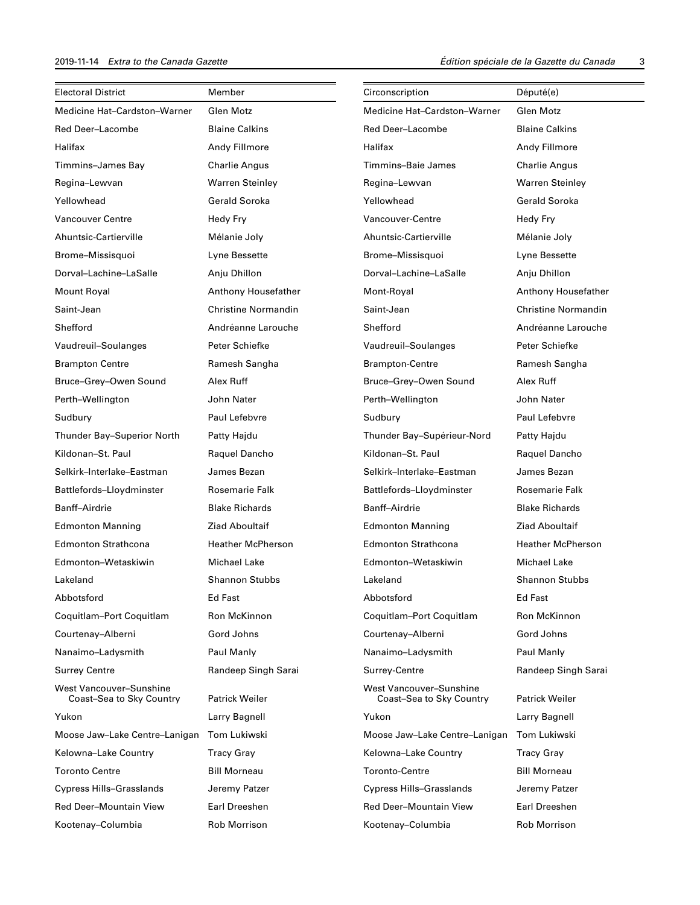| <b>Electoral District</b>                           | Member                     | Circonscription                                     | Député(e)                  |
|-----------------------------------------------------|----------------------------|-----------------------------------------------------|----------------------------|
| Medicine Hat-Cardston-Warner                        | Glen Motz                  | Medicine Hat-Cardston-Warner                        | Glen Motz                  |
| Red Deer-Lacombe                                    | <b>Blaine Calkins</b>      | Red Deer-Lacombe                                    | <b>Blaine Calkins</b>      |
| Halifax                                             | Andy Fillmore              | Halifax                                             | Andy Fillmore              |
| Timmins-James Bay                                   | <b>Charlie Angus</b>       | Timmins-Baie James                                  | <b>Charlie Angus</b>       |
| Regina-Lewvan                                       | <b>Warren Steinley</b>     | Regina-Lewvan                                       | <b>Warren Steinley</b>     |
| Yellowhead                                          | <b>Gerald Soroka</b>       | Yellowhead                                          | <b>Gerald Soroka</b>       |
| Vancouver Centre                                    | Hedy Fry                   | Vancouver-Centre                                    | Hedy Fry                   |
| Ahuntsic-Cartierville                               | Mélanie Joly               | Ahuntsic-Cartierville                               | Mélanie Joly               |
| Brome-Missisquoi                                    | Lyne Bessette              | Brome-Missisquoi                                    | Lyne Bessette              |
| Dorval-Lachine-LaSalle                              | Anju Dhillon               | Dorval-Lachine-LaSalle                              | Anju Dhillon               |
| Mount Royal                                         | Anthony Housefather        | Mont-Royal                                          | Anthony Housefather        |
| Saint-Jean                                          | <b>Christine Normandin</b> | Saint-Jean                                          | <b>Christine Normandin</b> |
| Shefford                                            | Andréanne Larouche         | Shefford                                            | Andréanne Larouche         |
| Vaudreuil-Soulanges                                 | Peter Schiefke             | Vaudreuil-Soulanges                                 | Peter Schiefke             |
| <b>Brampton Centre</b>                              | Ramesh Sangha              | <b>Brampton-Centre</b>                              | Ramesh Sangha              |
| Bruce-Grey-Owen Sound                               | Alex Ruff                  | Bruce-Grey-Owen Sound                               | Alex Ruff                  |
| Perth-Wellington                                    | John Nater                 | Perth-Wellington                                    | John Nater                 |
| Sudbury                                             | Paul Lefebvre              | Sudbury                                             | Paul Lefebvre              |
| Thunder Bay-Superior North                          | Patty Hajdu                | Thunder Bay-Supérieur-Nord                          | Patty Hajdu                |
| Kildonan-St. Paul                                   | Raquel Dancho              | Kildonan-St. Paul                                   | Raquel Dancho              |
| Selkirk-Interlake-Eastman                           | James Bezan                | Selkirk-Interlake-Eastman                           | James Bezan                |
| Battlefords-Lloydminster                            | Rosemarie Falk             | Battlefords-Lloydminster                            | Rosemarie Falk             |
| Banff–Airdrie                                       | <b>Blake Richards</b>      | Banff-Airdrie                                       | <b>Blake Richards</b>      |
| <b>Edmonton Manning</b>                             | <b>Ziad Aboultaif</b>      | <b>Edmonton Manning</b>                             | Ziad Aboultaif             |
| <b>Edmonton Strathcona</b>                          | <b>Heather McPherson</b>   | <b>Edmonton Strathcona</b>                          | <b>Heather McPherson</b>   |
| Edmonton-Wetaskiwin                                 | <b>Michael Lake</b>        | Edmonton-Wetaskiwin                                 | <b>Michael Lake</b>        |
| Lakeland                                            | <b>Shannon Stubbs</b>      | Lakeland                                            | <b>Shannon Stubbs</b>      |
| Abbotsford                                          | Ed Fast                    | Abbotsford                                          | Ed Fast                    |
| Coquitlam-Port Coquitlam                            | Ron McKinnon               | Coquitlam-Port Coquitlam                            | Ron McKinnon               |
| Courtenay-Alberni                                   | Gord Johns                 | Courtenay-Alberni                                   | Gord Johns                 |
| Nanaimo-Ladysmith                                   | Paul Manly                 | Nanaimo-Ladysmith                                   | Paul Manly                 |
| <b>Surrey Centre</b>                                | Randeep Singh Sarai        | Surrey-Centre                                       | Randeep Singh Sarai        |
| West Vancouver-Sunshine<br>Coast-Sea to Sky Country | <b>Patrick Weiler</b>      | West Vancouver-Sunshine<br>Coast-Sea to Sky Country | <b>Patrick Weiler</b>      |
| Yukon                                               | Larry Bagnell              | Yukon                                               | Larry Bagnell              |
| Moose Jaw-Lake Centre-Lanigan                       | Tom Lukiwski               | Moose Jaw-Lake Centre-Lanigan                       | <b>Tom Lukiwski</b>        |
| Kelowna-Lake Country                                | <b>Tracy Gray</b>          | Kelowna-Lake Country                                | Tracy Gray                 |
| <b>Toronto Centre</b>                               | <b>Bill Morneau</b>        | Toronto-Centre                                      | <b>Bill Morneau</b>        |
| <b>Cypress Hills-Grasslands</b>                     | Jeremy Patzer              | <b>Cypress Hills-Grasslands</b>                     | Jeremy Patzer              |
| <b>Red Deer-Mountain View</b>                       | Earl Dreeshen              | Red Deer-Mountain View                              | Earl Dreeshen              |
| Kootenay-Columbia                                   | Rob Morrison               | Kootenay-Columbia                                   | Rob Morrison               |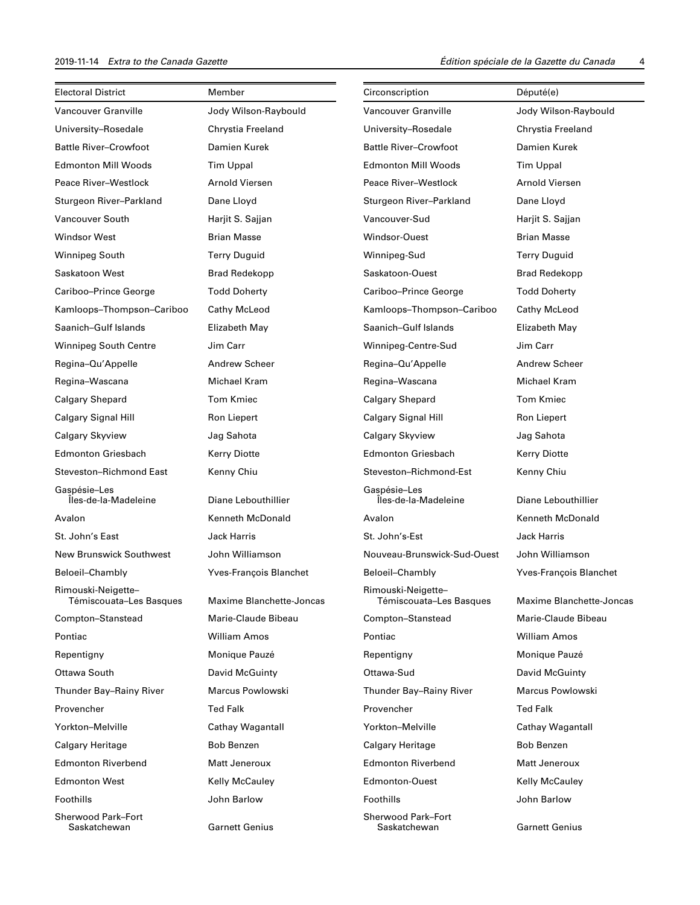| <b>Electoral District</b>                     | Member                   | Circonscription                               | Député(e)                |
|-----------------------------------------------|--------------------------|-----------------------------------------------|--------------------------|
| Vancouver Granville                           | Jody Wilson-Raybould     | <b>Vancouver Granville</b>                    | Jody Wilson-Raybould     |
| University-Rosedale                           | Chrystia Freeland        | University-Rosedale                           | Chrystia Freeland        |
| <b>Battle River-Crowfoot</b>                  | Damien Kurek             | <b>Battle River-Crowfoot</b>                  | Damien Kurek             |
| <b>Edmonton Mill Woods</b>                    | <b>Tim Uppal</b>         | <b>Edmonton Mill Woods</b>                    | <b>Tim Uppal</b>         |
| Peace River-Westlock                          | Arnold Viersen           | Peace River-Westlock                          | Arnold Viersen           |
| Sturgeon River-Parkland                       | Dane Lloyd               | Sturgeon River-Parkland                       | Dane Lloyd               |
| Vancouver South                               | Harjit S. Sajjan         | Vancouver-Sud                                 | Harjit S. Sajjan         |
| <b>Windsor West</b>                           | <b>Brian Masse</b>       | Windsor-Ouest                                 | <b>Brian Masse</b>       |
| <b>Winnipeg South</b>                         | <b>Terry Duguid</b>      | Winnipeg-Sud                                  | <b>Terry Duguid</b>      |
| <b>Saskatoon West</b>                         | <b>Brad Redekopp</b>     | Saskatoon-Ouest                               | <b>Brad Redekopp</b>     |
| Cariboo-Prince George                         | <b>Todd Doherty</b>      | Cariboo-Prince George                         | <b>Todd Doherty</b>      |
| Kamloops-Thompson-Cariboo                     | Cathy McLeod             | Kamloops-Thompson-Cariboo                     | Cathy McLeod             |
| Saanich-Gulf Islands                          | Elizabeth May            | Saanich-Gulf Islands                          | Elizabeth May            |
| <b>Winnipeg South Centre</b>                  | Jim Carr                 | Winnipeg-Centre-Sud                           | Jim Carr                 |
| Regina-Qu'Appelle                             | <b>Andrew Scheer</b>     | Regina-Qu'Appelle                             | <b>Andrew Scheer</b>     |
| Regina-Wascana                                | Michael Kram             | Regina-Wascana                                | Michael Kram             |
| <b>Calgary Shepard</b>                        | <b>Tom Kmiec</b>         | <b>Calgary Shepard</b>                        | <b>Tom Kmiec</b>         |
| Calgary Signal Hill                           | Ron Liepert              | Calgary Signal Hill                           | Ron Liepert              |
| Calgary Skyview                               | Jag Sahota               | Calgary Skyview                               | Jag Sahota               |
| <b>Edmonton Griesbach</b>                     | <b>Kerry Diotte</b>      | <b>Edmonton Griesbach</b>                     | <b>Kerry Diotte</b>      |
| Steveston-Richmond East                       | Kenny Chiu               | Steveston-Richmond-Est                        | Kenny Chiu               |
| Gaspésie-Les<br>Îles-de-la-Madeleine          | Diane Lebouthillier      | Gaspésie-Les<br>Îles-de-la-Madeleine          | Diane Lebouthillier      |
| Avalon                                        | Kenneth McDonald         | Avalon                                        | Kenneth McDonald         |
| St. John's East                               | Jack Harris              | St. John's-Est                                | <b>Jack Harris</b>       |
| <b>New Brunswick Southwest</b>                | John Williamson          | Nouveau-Brunswick-Sud-Ouest                   | John Williamson          |
| Beloeil-Chambly                               | Yves-François Blanchet   | Beloeil-Chambly                               | Yves-François Blanchet   |
| Rimouski-Neigette-<br>Témiscouata-Les Basques | Maxime Blanchette-Joncas | Rimouski-Neigette-<br>Témiscouata-Les Basques | Maxime Blanchette-Joncas |
| Compton-Stanstead                             | Marie-Claude Bibeau      | Compton-Stanstead                             | Marie-Claude Bibeau      |
| Pontiac                                       | <b>William Amos</b>      | Pontiac                                       | <b>William Amos</b>      |
| Repentigny                                    | Monique Pauzé            | Repentigny                                    | Monique Pauzé            |
| Ottawa South                                  | David McGuinty           | Ottawa-Sud                                    | David McGuinty           |
| Thunder Bay-Rainy River                       | Marcus Powlowski         | Thunder Bay-Rainy River                       | Marcus Powlowski         |
| Provencher                                    | <b>Ted Falk</b>          | Provencher                                    | <b>Ted Falk</b>          |
| Yorkton-Melville                              | Cathay Wagantall         | Yorkton-Melville                              | Cathay Wagantall         |
| <b>Calgary Heritage</b>                       | <b>Bob Benzen</b>        | Calgary Heritage                              | Bob Benzen               |
| <b>Edmonton Riverbend</b>                     | Matt Jeneroux            | <b>Edmonton Riverbend</b>                     | Matt Jeneroux            |
| <b>Edmonton West</b>                          | <b>Kelly McCauley</b>    | <b>Edmonton-Ouest</b>                         | Kelly McCauley           |
| Foothills                                     | John Barlow              | Foothills                                     | John Barlow              |
| <b>Sherwood Park-Fort</b><br>Saskatchewan     | <b>Garnett Genius</b>    | <b>Sherwood Park-Fort</b><br>Saskatchewan     | <b>Garnett Genius</b>    |